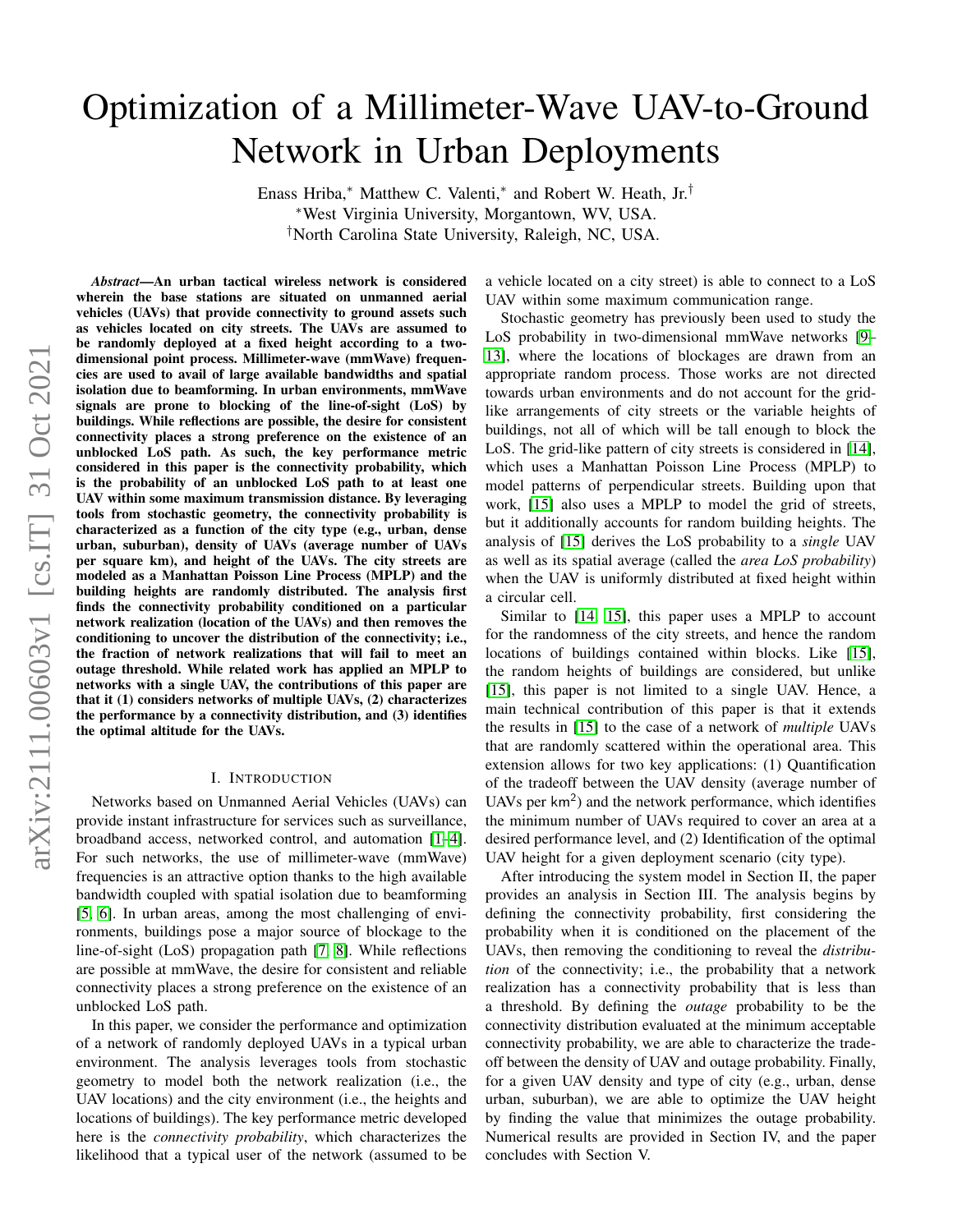# arXiv:2111.00603v1 [cs.IT] 31 Oct 2021 arXiv:2111.00603v1 [cs.IT] 31 Oct 2021

# Optimization of a Millimeter-Wave UAV-to-Ground Network in Urban Deployments

Enass Hriba,<sup>∗</sup> Matthew C. Valenti,<sup>∗</sup> and Robert W. Heath, Jr.† <sup>∗</sup>West Virginia University, Morgantown, WV, USA. †North Carolina State University, Raleigh, NC, USA.

*Abstract*—An urban tactical wireless network is considered wherein the base stations are situated on unmanned aerial vehicles (UAVs) that provide connectivity to ground assets such as vehicles located on city streets. The UAVs are assumed to be randomly deployed at a fixed height according to a twodimensional point process. Millimeter-wave (mmWave) frequencies are used to avail of large available bandwidths and spatial isolation due to beamforming. In urban environments, mmWave signals are prone to blocking of the line-of-sight (LoS) by buildings. While reflections are possible, the desire for consistent connectivity places a strong preference on the existence of an unblocked LoS path. As such, the key performance metric considered in this paper is the connectivity probability, which is the probability of an unblocked LoS path to at least one UAV within some maximum transmission distance. By leveraging tools from stochastic geometry, the connectivity probability is characterized as a function of the city type (e.g., urban, dense urban, suburban), density of UAVs (average number of UAVs per square km), and height of the UAVs. The city streets are modeled as a Manhattan Poisson Line Process (MPLP) and the building heights are randomly distributed. The analysis first finds the connectivity probability conditioned on a particular network realization (location of the UAVs) and then removes the conditioning to uncover the distribution of the connectivity; i.e., the fraction of network realizations that will fail to meet an outage threshold. While related work has applied an MPLP to networks with a single UAV, the contributions of this paper are that it (1) considers networks of multiple UAVs, (2) characterizes the performance by a connectivity distribution, and (3) identifies the optimal altitude for the UAVs.

### I. INTRODUCTION

Networks based on Unmanned Aerial Vehicles (UAVs) can provide instant infrastructure for services such as surveillance, broadband access, networked control, and automation [\[1](#page-5-0)[–4\]](#page-6-0). For such networks, the use of millimeter-wave (mmWave) frequencies is an attractive option thanks to the high available bandwidth coupled with spatial isolation due to beamforming [\[5,](#page-6-1) [6\]](#page-6-2). In urban areas, among the most challenging of environments, buildings pose a major source of blockage to the line-of-sight (LoS) propagation path [\[7,](#page-6-3) [8\]](#page-6-4). While reflections are possible at mmWave, the desire for consistent and reliable connectivity places a strong preference on the existence of an unblocked LoS path.

In this paper, we consider the performance and optimization of a network of randomly deployed UAVs in a typical urban environment. The analysis leverages tools from stochastic geometry to model both the network realization (i.e., the UAV locations) and the city environment (i.e., the heights and locations of buildings). The key performance metric developed here is the *connectivity probability*, which characterizes the likelihood that a typical user of the network (assumed to be a vehicle located on a city street) is able to connect to a LoS UAV within some maximum communication range.

Stochastic geometry has previously been used to study the LoS probability in two-dimensional mmWave networks [\[9–](#page-6-5) [13\]](#page-6-6), where the locations of blockages are drawn from an appropriate random process. Those works are not directed towards urban environments and do not account for the gridlike arrangements of city streets or the variable heights of buildings, not all of which will be tall enough to block the LoS. The grid-like pattern of city streets is considered in [\[14\]](#page-6-7), which uses a Manhattan Poisson Line Process (MPLP) to model patterns of perpendicular streets. Building upon that work, [\[15\]](#page-6-8) also uses a MPLP to model the grid of streets, but it additionally accounts for random building heights. The analysis of [\[15\]](#page-6-8) derives the LoS probability to a *single* UAV as well as its spatial average (called the *area LoS probability*) when the UAV is uniformly distributed at fixed height within a circular cell.

Similar to [\[14,](#page-6-7) [15\]](#page-6-8), this paper uses a MPLP to account for the randomness of the city streets, and hence the random locations of buildings contained within blocks. Like [\[15\]](#page-6-8), the random heights of buildings are considered, but unlike [\[15\]](#page-6-8), this paper is not limited to a single UAV. Hence, a main technical contribution of this paper is that it extends the results in [\[15\]](#page-6-8) to the case of a network of *multiple* UAVs that are randomly scattered within the operational area. This extension allows for two key applications: (1) Quantification of the tradeoff between the UAV density (average number of UAVs per km<sup>2</sup>) and the network performance, which identifies the minimum number of UAVs required to cover an area at a desired performance level, and (2) Identification of the optimal UAV height for a given deployment scenario (city type).

After introducing the system model in Section II, the paper provides an analysis in Section III. The analysis begins by defining the connectivity probability, first considering the probability when it is conditioned on the placement of the UAVs, then removing the conditioning to reveal the *distribution* of the connectivity; i.e., the probability that a network realization has a connectivity probability that is less than a threshold. By defining the *outage* probability to be the connectivity distribution evaluated at the minimum acceptable connectivity probability, we are able to characterize the tradeoff between the density of UAV and outage probability. Finally, for a given UAV density and type of city (e.g., urban, dense urban, suburban), we are able to optimize the UAV height by finding the value that minimizes the outage probability. Numerical results are provided in Section IV, and the paper concludes with Section V.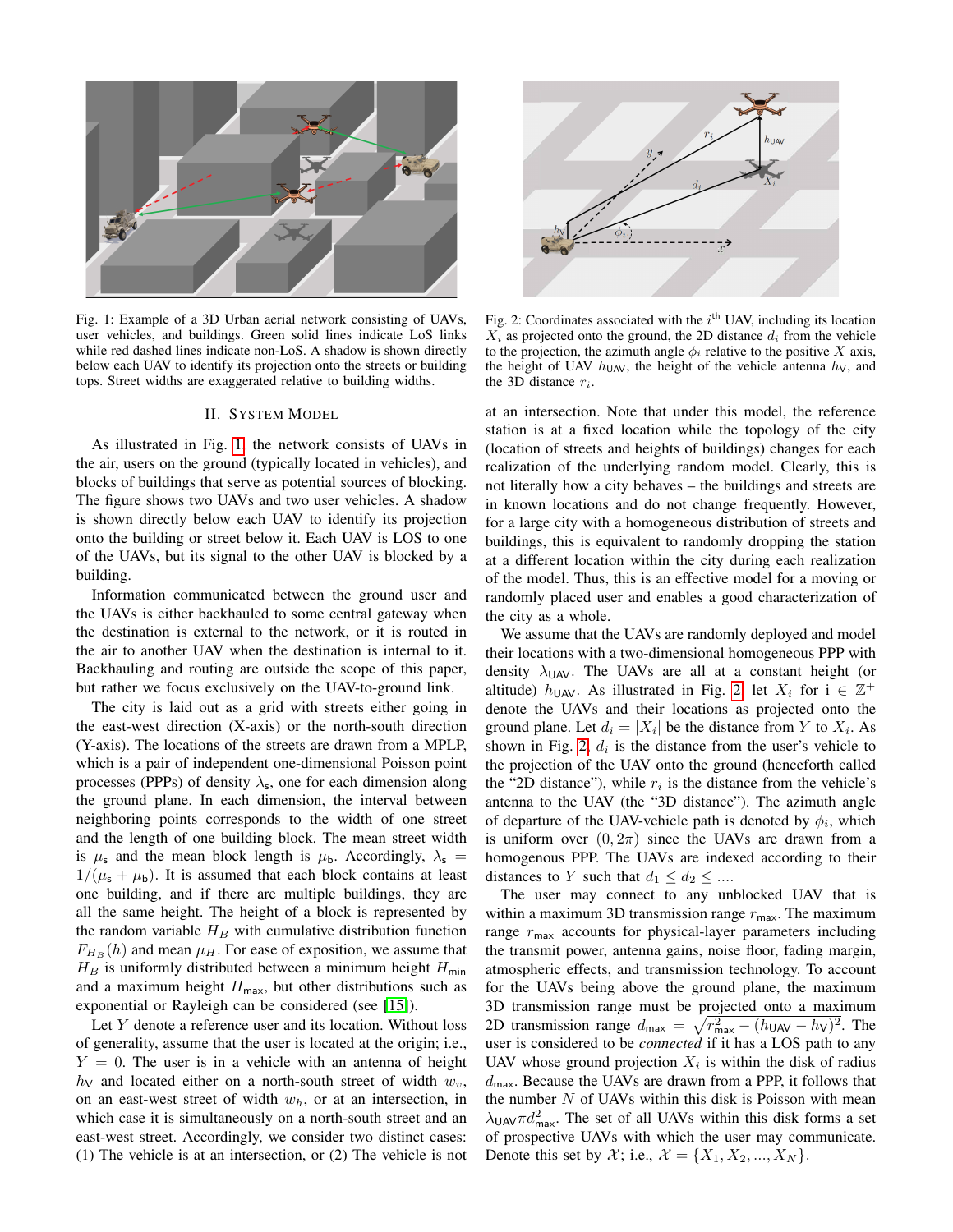<span id="page-1-0"></span>

Fig. 1: Example of a 3D Urban aerial network consisting of UAVs, user vehicles, and buildings. Green solid lines indicate LoS links while red dashed lines indicate non-LoS. A shadow is shown directly below each UAV to identify its projection onto the streets or building tops. Street widths are exaggerated relative to building widths.

### II. SYSTEM MODEL

As illustrated in Fig. [1,](#page-1-0) the network consists of UAVs in the air, users on the ground (typically located in vehicles), and blocks of buildings that serve as potential sources of blocking. The figure shows two UAVs and two user vehicles. A shadow is shown directly below each UAV to identify its projection onto the building or street below it. Each UAV is LOS to one of the UAVs, but its signal to the other UAV is blocked by a building.

Information communicated between the ground user and the UAVs is either backhauled to some central gateway when the destination is external to the network, or it is routed in the air to another UAV when the destination is internal to it. Backhauling and routing are outside the scope of this paper, but rather we focus exclusively on the UAV-to-ground link.

The city is laid out as a grid with streets either going in the east-west direction (X-axis) or the north-south direction (Y-axis). The locations of the streets are drawn from a MPLP, which is a pair of independent one-dimensional Poisson point processes (PPPs) of density  $\lambda_s$ , one for each dimension along the ground plane. In each dimension, the interval between neighboring points corresponds to the width of one street and the length of one building block. The mean street width is  $\mu_s$  and the mean block length is  $\mu_b$ . Accordingly,  $\lambda_s$  =  $1/(\mu_s + \mu_b)$ . It is assumed that each block contains at least one building, and if there are multiple buildings, they are all the same height. The height of a block is represented by the random variable  $H_B$  with cumulative distribution function  $F_{H_B}(h)$  and mean  $\mu_H$ . For ease of exposition, we assume that  $H_B$  is uniformly distributed between a minimum height  $H_{min}$ and a maximum height  $H_{\text{max}}$ , but other distributions such as exponential or Rayleigh can be considered (see [\[15\]](#page-6-8)).

Let Y denote a reference user and its location. Without loss of generality, assume that the user is located at the origin; i.e.,  $Y = 0$ . The user is in a vehicle with an antenna of height  $h_{\rm V}$  and located either on a north-south street of width  $w_{v}$ , on an east-west street of width  $w<sub>h</sub>$ , or at an intersection, in which case it is simultaneously on a north-south street and an east-west street. Accordingly, we consider two distinct cases: (1) The vehicle is at an intersection, or (2) The vehicle is not

<span id="page-1-1"></span>

Fig. 2: Coordinates associated with the  $i<sup>th</sup>$  UAV, including its location  $X_i$  as projected onto the ground, the 2D distance  $d_i$  from the vehicle to the projection, the azimuth angle  $\phi_i$  relative to the positive X axis, the height of UAV  $h_{\text{UAV}}$ , the height of the vehicle antenna  $h_{\text{V}}$ , and the 3D distance  $r_i$ .

at an intersection. Note that under this model, the reference station is at a fixed location while the topology of the city (location of streets and heights of buildings) changes for each realization of the underlying random model. Clearly, this is not literally how a city behaves – the buildings and streets are in known locations and do not change frequently. However, for a large city with a homogeneous distribution of streets and buildings, this is equivalent to randomly dropping the station at a different location within the city during each realization of the model. Thus, this is an effective model for a moving or randomly placed user and enables a good characterization of the city as a whole.

We assume that the UAVs are randomly deployed and model their locations with a two-dimensional homogeneous PPP with density  $\lambda_{UAV}$ . The UAVs are all at a constant height (or altitude)  $h_{\text{UAV}}$ . As illustrated in Fig. [2,](#page-1-1) let  $X_i$  for  $i \in \mathbb{Z}^+$ denote the UAVs and their locations as projected onto the ground plane. Let  $d_i = |X_i|$  be the distance from Y to  $X_i$ . As shown in Fig. [2,](#page-1-1)  $d_i$  is the distance from the user's vehicle to the projection of the UAV onto the ground (henceforth called the "2D distance"), while  $r_i$  is the distance from the vehicle's antenna to the UAV (the "3D distance"). The azimuth angle of departure of the UAV-vehicle path is denoted by  $\phi_i$ , which is uniform over  $(0, 2\pi)$  since the UAVs are drawn from a homogenous PPP. The UAVs are indexed according to their distances to Y such that  $d_1 \leq d_2 \leq ...$ 

The user may connect to any unblocked UAV that is within a maximum 3D transmission range  $r_{\text{max}}$ . The maximum range  $r_{\text{max}}$  accounts for physical-layer parameters including the transmit power, antenna gains, noise floor, fading margin, atmospheric effects, and transmission technology. To account for the UAVs being above the ground plane, the maximum 3D transmission range must be projected onto a maximum 2D transmission range  $d_{\text{max}} = \sqrt{r_{\text{max}}^2 - (h_{\text{UAV}} - h_{\text{V}})^2}$ . The user is considered to be *connected* if it has a LOS path to any UAV whose ground projection  $X_i$  is within the disk of radius  $d_{\text{max}}$ . Because the UAVs are drawn from a PPP, it follows that the number  $N$  of UAVs within this disk is Poisson with mean  $\lambda_{\text{UAV}} \pi d_{\text{max}}^2$ . The set of all UAVs within this disk forms a set of prospective UAVs with which the user may communicate. Denote this set by  $\mathcal{X}$ ; i.e.,  $\mathcal{X} = \{X_1, X_2, ..., X_N\}$ .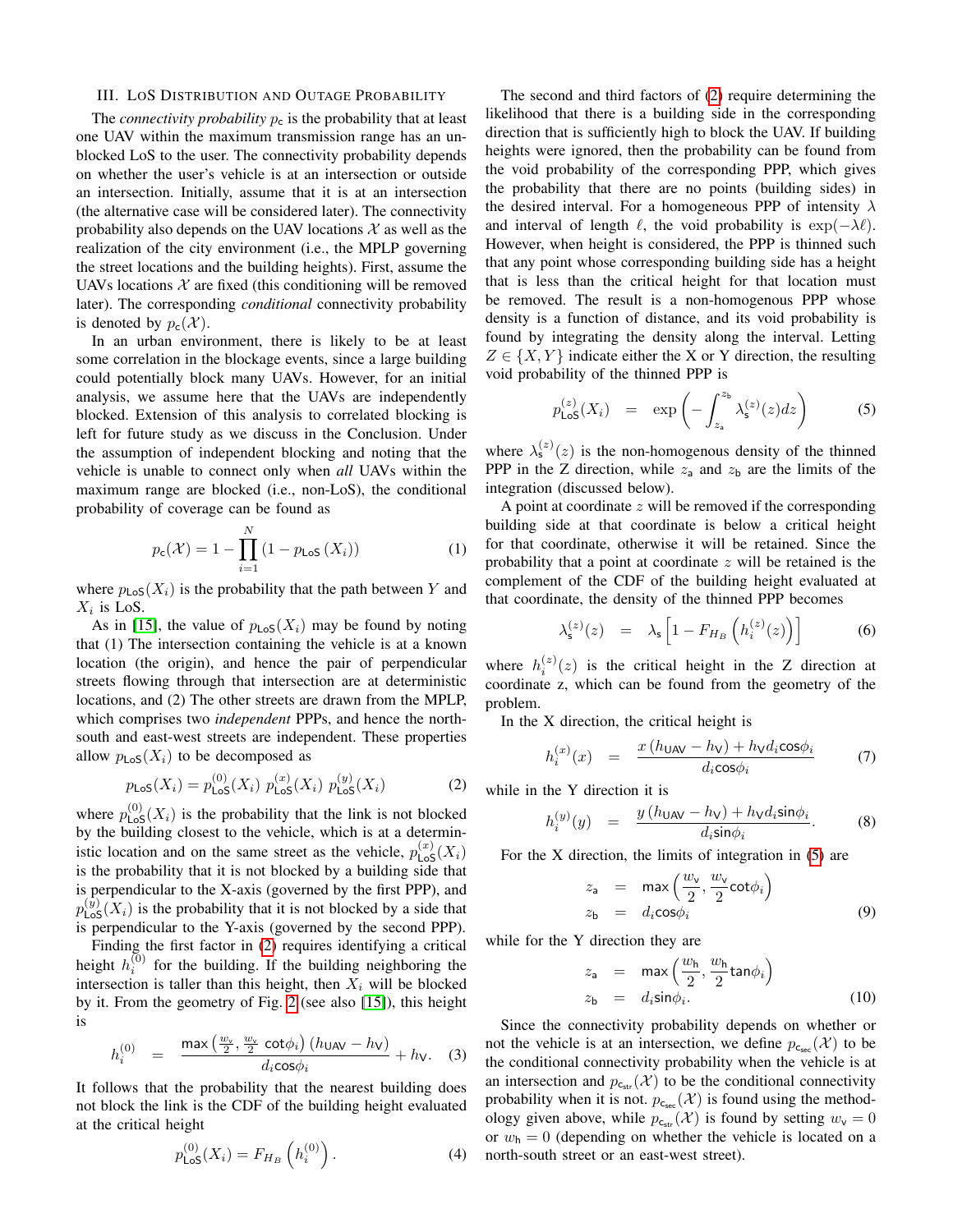# III. LOS DISTRIBUTION AND OUTAGE PROBABILITY

The *connectivity probability*  $p_c$  is the probability that at least one UAV within the maximum transmission range has an unblocked LoS to the user. The connectivity probability depends on whether the user's vehicle is at an intersection or outside an intersection. Initially, assume that it is at an intersection (the alternative case will be considered later). The connectivity probability also depends on the UAV locations  $\mathcal X$  as well as the realization of the city environment (i.e., the MPLP governing the street locations and the building heights). First, assume the UAVs locations  $X$  are fixed (this conditioning will be removed later). The corresponding *conditional* connectivity probability is denoted by  $p_c(\mathcal{X})$ .

In an urban environment, there is likely to be at least some correlation in the blockage events, since a large building could potentially block many UAVs. However, for an initial analysis, we assume here that the UAVs are independently blocked. Extension of this analysis to correlated blocking is left for future study as we discuss in the Conclusion. Under the assumption of independent blocking and noting that the vehicle is unable to connect only when *all* UAVs within the maximum range are blocked (i.e., non-LoS), the conditional probability of coverage can be found as

$$
p_{c}(\mathcal{X}) = 1 - \prod_{i=1}^{N} (1 - p_{LoS}(X_i))
$$
 (1)

where  $p_{\text{LoS}}(X_i)$  is the probability that the path between Y and  $X_i$  is LoS.

As in [\[15\]](#page-6-8), the value of  $p_{\text{LoS}}(X_i)$  may be found by noting that (1) The intersection containing the vehicle is at a known location (the origin), and hence the pair of perpendicular streets flowing through that intersection are at deterministic locations, and (2) The other streets are drawn from the MPLP, which comprises two *independent* PPPs, and hence the northsouth and east-west streets are independent. These properties allow  $p_{\text{LoS}}(X_i)$  to be decomposed as

<span id="page-2-0"></span>
$$
p_{\text{LoS}}(X_i) = p_{\text{LoS}}^{(0)}(X_i) \ p_{\text{LoS}}^{(x)}(X_i) \ p_{\text{LoS}}^{(y)}(X_i)
$$
 (2)

where  $p_{\text{LoS}}^{(0)}(X_i)$  is the probability that the link is not blocked by the building closest to the vehicle, which is at a deterministic location and on the same street as the vehicle,  $p_{\text{LoS}}^{(x)}(X_i)$ is the probability that it is not blocked by a building side that is perpendicular to the X-axis (governed by the first PPP), and  $p_{\mathsf{LoS}}^{(\bar{y})}(X_i)$  is the probability that it is not blocked by a side that is perpendicular to the Y-axis (governed by the second PPP).

Finding the first factor in [\(2\)](#page-2-0) requires identifying a critical height  $h_i^{(0)}$  for the building. If the building neighboring the intersection is taller than this height, then  $X_i$  will be blocked by it. From the geometry of Fig. [2](#page-1-1) (see also [\[15\]](#page-6-8)), this height is

$$
h_i^{(0)} = \frac{\max\left(\frac{w_v}{2}, \frac{w_v}{2} \cot\phi_i\right) (h_{\text{UAV}} - h_{\text{V}})}{d_i \cos\phi_i} + h_{\text{V}}.
$$
 (3)

It follows that the probability that the nearest building does not block the link is the CDF of the building height evaluated at the critical height

$$
p_{\text{LoS}}^{(0)}(X_i) = F_{H_B}\left(h_i^{(0)}\right). \tag{4}
$$

The second and third factors of [\(2\)](#page-2-0) require determining the likelihood that there is a building side in the corresponding direction that is sufficiently high to block the UAV. If building heights were ignored, then the probability can be found from the void probability of the corresponding PPP, which gives the probability that there are no points (building sides) in the desired interval. For a homogeneous PPP of intensity  $\lambda$ and interval of length  $\ell$ , the void probability is  $\exp(-\lambda \ell)$ . However, when height is considered, the PPP is thinned such that any point whose corresponding building side has a height that is less than the critical height for that location must be removed. The result is a non-homogenous PPP whose density is a function of distance, and its void probability is found by integrating the density along the interval. Letting  $Z \in \{X, Y\}$  indicate either the X or Y direction, the resulting void probability of the thinned PPP is

<span id="page-2-1"></span>
$$
p_{\text{LoS}}^{(z)}(X_i) = \exp\left(-\int_{z_a}^{z_b} \lambda_{\text{s}}^{(z)}(z)dz\right) \tag{5}
$$

where  $\lambda_s^{(z)}(z)$  is the non-homogenous density of the thinned PPP in the Z direction, while  $z_a$  and  $z_b$  are the limits of the integration (discussed below).

A point at coordinate  $z$  will be removed if the corresponding building side at that coordinate is below a critical height for that coordinate, otherwise it will be retained. Since the probability that a point at coordinate z will be retained is the complement of the CDF of the building height evaluated at that coordinate, the density of the thinned PPP becomes

$$
\lambda_{\mathsf{s}}^{(z)}(z) = \lambda_{\mathsf{s}} \left[ 1 - F_{H_B} \left( h_i^{(z)}(z) \right) \right] \tag{6}
$$

where  $h_i^{(z)}(z)$  is the critical height in the Z direction at coordinate z, which can be found from the geometry of the problem.

In the X direction, the critical height is

$$
h_i^{(x)}(x) = \frac{x(h_{\text{UAV}} - h_{\text{V}}) + h_{\text{V}}d_i \cos \phi_i}{d_i \cos \phi_i} \tag{7}
$$

while in the Y direction it is

$$
h_i^{(y)}(y) = \frac{y(h_{\text{UAV}} - h_{\text{V}}) + h_{\text{V}}d_i \sin \phi_i}{d_i \sin \phi_i}.
$$
 (8)

For the X direction, the limits of integration in [\(5\)](#page-2-1) are

$$
z_{\mathsf{a}} = \max\left(\frac{w_{\mathsf{v}}}{2}, \frac{w_{\mathsf{v}}}{2}\cot\phi_i\right)
$$
  
\n
$$
z_{\mathsf{b}} = d_i \cos\phi_i \tag{9}
$$

while for the Y direction they are

$$
z_{a} = \max\left(\frac{w_{b}}{2}, \frac{w_{b}}{2} \tan \phi_{i}\right)
$$
  
\n
$$
z_{b} = d_{i} \sin \phi_{i}.
$$
 (10)

Since the connectivity probability depends on whether or not the vehicle is at an intersection, we define  $p_{c_{\text{sec}}}(\mathcal{X})$  to be the conditional connectivity probability when the vehicle is at an intersection and  $p_{c_{str}}(\mathcal{X})$  to be the conditional connectivity probability when it is not.  $p_{c_{\text{sec}}}(\mathcal{X})$  is found using the methodology given above, while  $p_{c_{str}}(\mathcal{X})$  is found by setting  $w_{\mathsf{v}} = 0$ or  $w_h = 0$  (depending on whether the vehicle is located on a north-south street or an east-west street).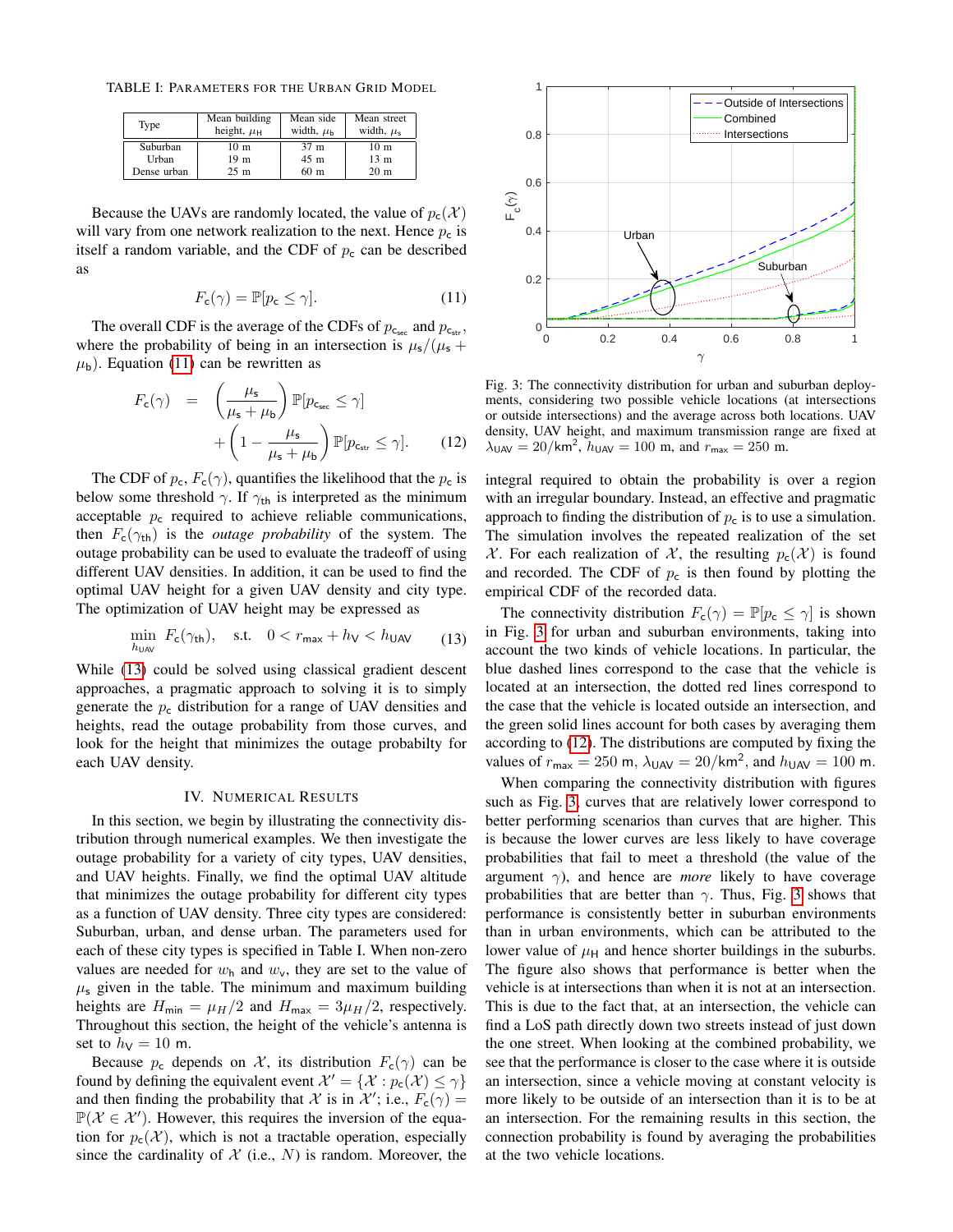TABLE I: PARAMETERS FOR THE URBAN GRID MODEL

| Type        | Mean building<br>height, $\mu_H$ | Mean side<br>width, $\mu_h$ | Mean street<br>width, $\mu_s$ |
|-------------|----------------------------------|-----------------------------|-------------------------------|
| Suburban    | 10 <sub>m</sub>                  | 37 <sub>m</sub>             | 10 <sub>m</sub>               |
| Urban       | 19 <sub>m</sub>                  | 45 <sub>m</sub>             | 13 <sub>m</sub>               |
| Dense urban | $25 \text{ m}$                   | 60 <sub>m</sub>             | 20 <sub>m</sub>               |

Because the UAVs are randomly located, the value of  $p_c(\mathcal{X})$ will vary from one network realization to the next. Hence  $p_c$  is itself a random variable, and the CDF of  $p_c$  can be described as

<span id="page-3-0"></span>
$$
F_{\mathsf{c}}(\gamma) = \mathbb{P}[p_{\mathsf{c}} \le \gamma]. \tag{11}
$$

The overall CDF is the average of the CDFs of  $p_{c_{\text{sec}}}$  and  $p_{c_{\text{str}}}$ , where the probability of being in an intersection is  $\mu_s/(\mu_s +$  $\mu_{\rm b}$ ). Equation [\(11\)](#page-3-0) can be rewritten as

<span id="page-3-3"></span>
$$
F_{\rm c}(\gamma) = \left(\frac{\mu_{\rm s}}{\mu_{\rm s} + \mu_{\rm b}}\right) \mathbb{P}[p_{\rm c_{\rm sec}} \le \gamma] + \left(1 - \frac{\mu_{\rm s}}{\mu_{\rm s} + \mu_{\rm b}}\right) \mathbb{P}[p_{\rm c_{\rm str}} \le \gamma]. \tag{12}
$$

The CDF of  $p_c$ ,  $F_c(\gamma)$ , quantifies the likelihood that the  $p_c$  is below some threshold  $\gamma$ . If  $\gamma_{\text{th}}$  is interpreted as the minimum acceptable  $p_c$  required to achieve reliable communications, then  $F_c(\gamma_{\text{th}})$  is the *outage probability* of the system. The outage probability can be used to evaluate the tradeoff of using different UAV densities. In addition, it can be used to find the optimal UAV height for a given UAV density and city type. The optimization of UAV height may be expressed as

<span id="page-3-1"></span>
$$
\min_{h_{\text{UAV}}} F_{\text{c}}(\gamma_{\text{th}}), \quad \text{s.t.} \quad 0 < r_{\text{max}} + h_{\text{V}} < h_{\text{UAV}} \tag{13}
$$

While [\(13\)](#page-3-1) could be solved using classical gradient descent approaches, a pragmatic approach to solving it is to simply generate the  $p_c$  distribution for a range of UAV densities and heights, read the outage probability from those curves, and look for the height that minimizes the outage probabilty for each UAV density.

# IV. NUMERICAL RESULTS

In this section, we begin by illustrating the connectivity distribution through numerical examples. We then investigate the outage probability for a variety of city types, UAV densities, and UAV heights. Finally, we find the optimal UAV altitude that minimizes the outage probability for different city types as a function of UAV density. Three city types are considered: Suburban, urban, and dense urban. The parameters used for each of these city types is specified in Table I. When non-zero values are needed for  $w_h$  and  $w_v$ , they are set to the value of  $\mu$ <sub>s</sub> given in the table. The minimum and maximum building heights are  $H_{\text{min}} = \mu_H/2$  and  $H_{\text{max}} = 3\mu_H/2$ , respectively. Throughout this section, the height of the vehicle's antenna is set to  $h_V = 10$  m.

Because  $p_c$  depends on  $\mathcal{X}$ , its distribution  $F_c(\gamma)$  can be found by defining the equivalent event  $\mathcal{X}' = {\mathcal{X} : p_c(\mathcal{X}) \leq \gamma}$ and then finding the probability that X is in  $\mathcal{X}'$ ; i.e.,  $F_c(\gamma) =$  $\mathbb{P}(\mathcal{X} \in \mathcal{X}')$ . However, this requires the inversion of the equation for  $p_c(\mathcal{X})$ , which is not a tractable operation, especially since the cardinality of  $X$  (i.e.,  $N$ ) is random. Moreover, the

<span id="page-3-2"></span>

Fig. 3: The connectivity distribution for urban and suburban deployments, considering two possible vehicle locations (at intersections or outside intersections) and the average across both locations. UAV density, UAV height, and maximum transmission range are fixed at  $\lambda_{\text{UAV}} = 20/\text{km}^2$ ,  $h_{\text{UAV}} = 100 \text{ m}$ , and  $r_{\text{max}} = 250 \text{ m}$ .

integral required to obtain the probability is over a region with an irregular boundary. Instead, an effective and pragmatic approach to finding the distribution of  $p_c$  is to use a simulation. The simulation involves the repeated realization of the set X. For each realization of X, the resulting  $p_c(\mathcal{X})$  is found and recorded. The CDF of  $p_c$  is then found by plotting the empirical CDF of the recorded data.

The connectivity distribution  $F_c(\gamma) = \mathbb{P}[p_c \leq \gamma]$  is shown in Fig. [3](#page-3-2) for urban and suburban environments, taking into account the two kinds of vehicle locations. In particular, the blue dashed lines correspond to the case that the vehicle is located at an intersection, the dotted red lines correspond to the case that the vehicle is located outside an intersection, and the green solid lines account for both cases by averaging them according to [\(12\)](#page-3-3). The distributions are computed by fixing the values of  $r_{\text{max}} = 250 \text{ m}$ ,  $\lambda_{\text{UAV}} = 20/\text{km}^2$ , and  $h_{\text{UAV}} = 100 \text{ m}$ .

When comparing the connectivity distribution with figures such as Fig. [3,](#page-3-2) curves that are relatively lower correspond to better performing scenarios than curves that are higher. This is because the lower curves are less likely to have coverage probabilities that fail to meet a threshold (the value of the argument  $\gamma$ ), and hence are *more* likely to have coverage probabilities that are better than  $\gamma$ . Thus, Fig. [3](#page-3-2) shows that performance is consistently better in suburban environments than in urban environments, which can be attributed to the lower value of  $\mu_H$  and hence shorter buildings in the suburbs. The figure also shows that performance is better when the vehicle is at intersections than when it is not at an intersection. This is due to the fact that, at an intersection, the vehicle can find a LoS path directly down two streets instead of just down the one street. When looking at the combined probability, we see that the performance is closer to the case where it is outside an intersection, since a vehicle moving at constant velocity is more likely to be outside of an intersection than it is to be at an intersection. For the remaining results in this section, the connection probability is found by averaging the probabilities at the two vehicle locations.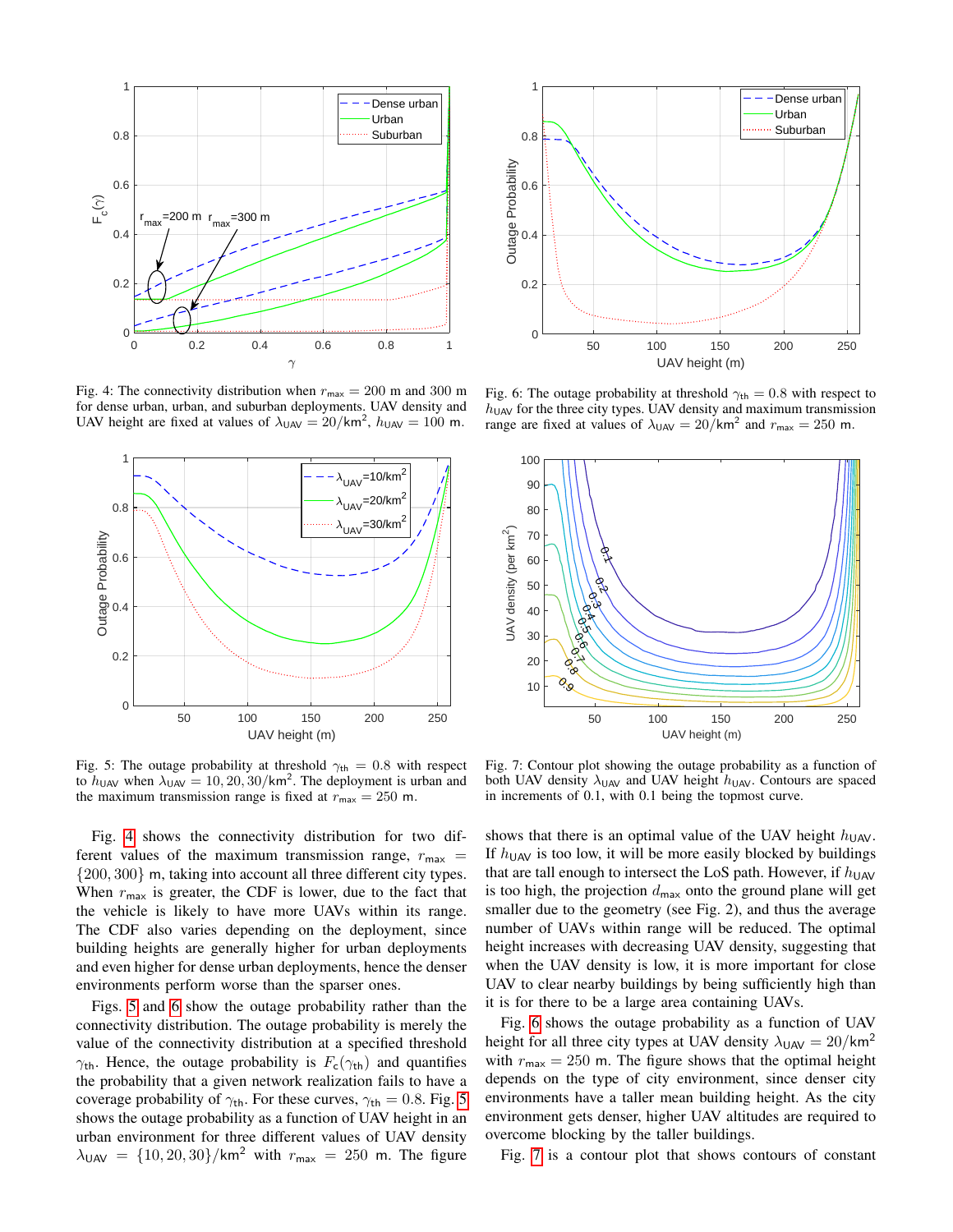<span id="page-4-0"></span>

Fig. 4: The connectivity distribution when  $r_{\text{max}} = 200$  m and 300 m for dense urban, urban, and suburban deployments. UAV density and UAV height are fixed at values of  $\lambda_{\text{UAV}} = 20/\text{km}^2$ ,  $h_{\text{UAV}} = 100 \text{ m}$ .

<span id="page-4-1"></span>

Fig. 5: The outage probability at threshold  $\gamma_{\text{th}} = 0.8$  with respect to  $h_{\text{UAV}}$  when  $\lambda_{\text{UAV}} = 10, 20, 30/\text{km}^2$ . The deployment is urban and the maximum transmission range is fixed at  $r_{\text{max}} = 250$  m.

Fig. [4](#page-4-0) shows the connectivity distribution for two different values of the maximum transmission range,  $r_{\text{max}} =$ {200, 300} m, taking into account all three different city types. When  $r_{\text{max}}$  is greater, the CDF is lower, due to the fact that the vehicle is likely to have more UAVs within its range. The CDF also varies depending on the deployment, since building heights are generally higher for urban deployments and even higher for dense urban deployments, hence the denser environments perform worse than the sparser ones.

Figs. [5](#page-4-1) and [6](#page-4-2) show the outage probability rather than the connectivity distribution. The outage probability is merely the value of the connectivity distribution at a specified threshold  $\gamma_{\text{th}}$ . Hence, the outage probability is  $F_c(\gamma_{\text{th}})$  and quantifies the probability that a given network realization fails to have a coverage probability of  $\gamma_{\text{th}}$ . For these curves,  $\gamma_{\text{th}} = 0.8$ . Fig. [5](#page-4-1) shows the outage probability as a function of UAV height in an urban environment for three different values of UAV density  $\lambda_{\text{UAV}} = \{10, 20, 30\} / \text{km}^2$  with  $r_{\text{max}} = 250$  m. The figure

<span id="page-4-2"></span>

Fig. 6: The outage probability at threshold  $\gamma_{\text{th}} = 0.8$  with respect to  $h_{\text{UAV}}$  for the three city types. UAV density and maximum transmission range are fixed at values of  $\lambda_{\text{UAV}} = 20/\text{km}^2$  and  $r_{\text{max}} = 250$  m.

<span id="page-4-3"></span>

Fig. 7: Contour plot showing the outage probability as a function of both UAV density  $\lambda_{\text{UAV}}$  and UAV height  $h_{\text{UAV}}$ . Contours are spaced in increments of 0.1, with 0.1 being the topmost curve.

shows that there is an optimal value of the UAV height  $h_{\text{UAV}}$ . If  $h_{\text{UAV}}$  is too low, it will be more easily blocked by buildings that are tall enough to intersect the LoS path. However, if  $h_{\text{UAV}}$ is too high, the projection  $d_{\text{max}}$  onto the ground plane will get smaller due to the geometry (see Fig. 2), and thus the average number of UAVs within range will be reduced. The optimal height increases with decreasing UAV density, suggesting that when the UAV density is low, it is more important for close UAV to clear nearby buildings by being sufficiently high than it is for there to be a large area containing UAVs.

Fig. [6](#page-4-2) shows the outage probability as a function of UAV height for all three city types at UAV density  $\lambda_{UAV} = 20/km^2$ with  $r_{\text{max}} = 250$  m. The figure shows that the optimal height depends on the type of city environment, since denser city environments have a taller mean building height. As the city environment gets denser, higher UAV altitudes are required to overcome blocking by the taller buildings.

Fig. [7](#page-4-3) is a contour plot that shows contours of constant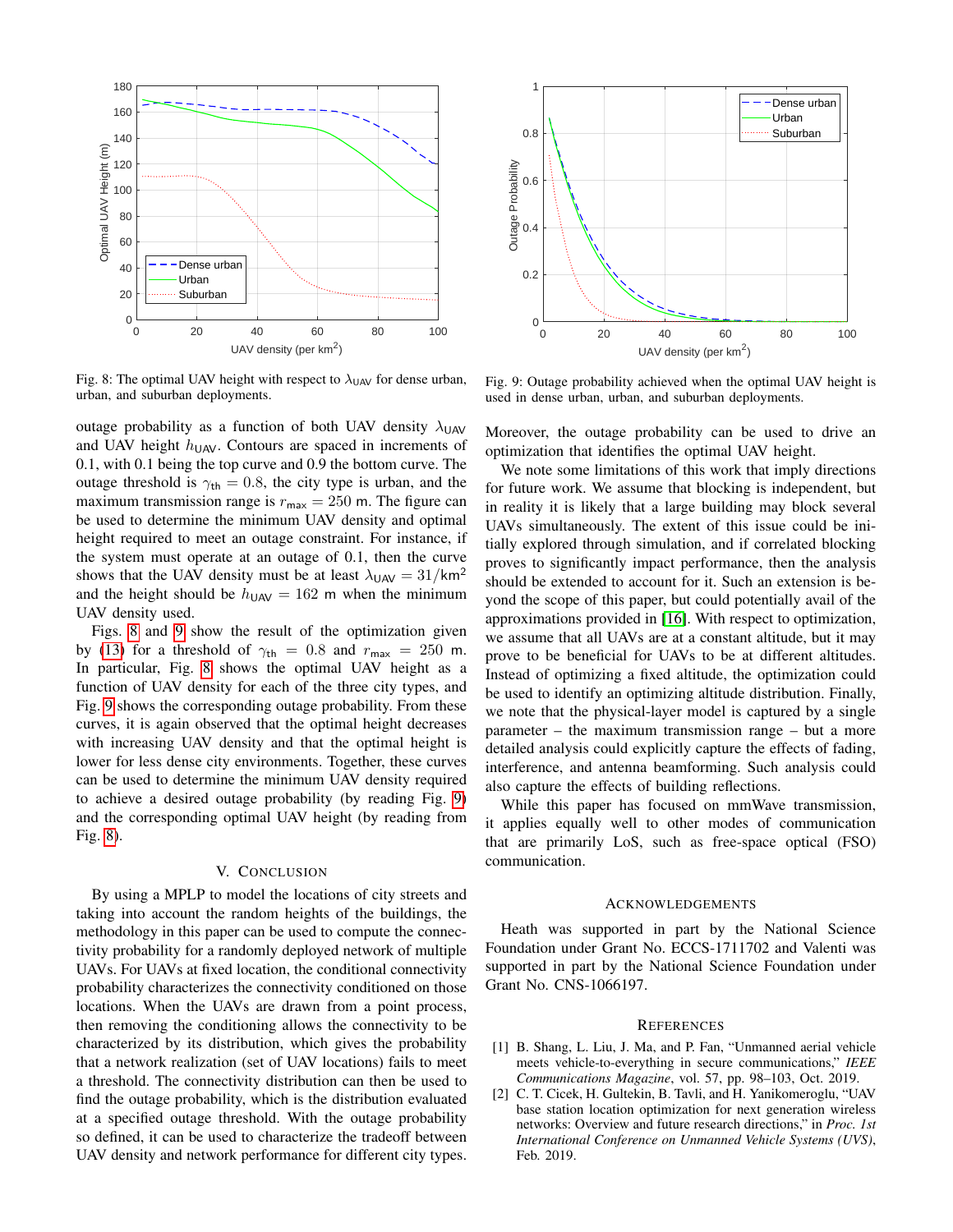<span id="page-5-1"></span>

Fig. 8: The optimal UAV height with respect to  $\lambda_{UAV}$  for dense urban, urban, and suburban deployments.

outage probability as a function of both UAV density  $\lambda_{\text{UAV}}$ and UAV height  $h_{\text{UAV}}$ . Contours are spaced in increments of 0.1, with 0.1 being the top curve and 0.9 the bottom curve. The outage threshold is  $\gamma_{\text{th}} = 0.8$ , the city type is urban, and the maximum transmission range is  $r_{\text{max}} = 250$  m. The figure can be used to determine the minimum UAV density and optimal height required to meet an outage constraint. For instance, if the system must operate at an outage of 0.1, then the curve shows that the UAV density must be at least  $\lambda_{\text{UAV}} = 31/\text{km}^2$ and the height should be  $h_{\text{UAV}} = 162$  m when the minimum UAV density used.

Figs. [8](#page-5-1) and [9](#page-5-2) show the result of the optimization given by [\(13\)](#page-3-1) for a threshold of  $\gamma_{\text{th}} = 0.8$  and  $r_{\text{max}} = 250$  m. In particular, Fig. [8](#page-5-1) shows the optimal UAV height as a function of UAV density for each of the three city types, and Fig. [9](#page-5-2) shows the corresponding outage probability. From these curves, it is again observed that the optimal height decreases with increasing UAV density and that the optimal height is lower for less dense city environments. Together, these curves can be used to determine the minimum UAV density required to achieve a desired outage probability (by reading Fig. [9\)](#page-5-2) and the corresponding optimal UAV height (by reading from Fig. [8\)](#page-5-1).

# V. CONCLUSION

By using a MPLP to model the locations of city streets and taking into account the random heights of the buildings, the methodology in this paper can be used to compute the connectivity probability for a randomly deployed network of multiple UAVs. For UAVs at fixed location, the conditional connectivity probability characterizes the connectivity conditioned on those locations. When the UAVs are drawn from a point process, then removing the conditioning allows the connectivity to be characterized by its distribution, which gives the probability that a network realization (set of UAV locations) fails to meet a threshold. The connectivity distribution can then be used to find the outage probability, which is the distribution evaluated at a specified outage threshold. With the outage probability so defined, it can be used to characterize the tradeoff between UAV density and network performance for different city types.

<span id="page-5-2"></span>

Fig. 9: Outage probability achieved when the optimal UAV height is used in dense urban, urban, and suburban deployments.

Moreover, the outage probability can be used to drive an optimization that identifies the optimal UAV height.

We note some limitations of this work that imply directions for future work. We assume that blocking is independent, but in reality it is likely that a large building may block several UAVs simultaneously. The extent of this issue could be initially explored through simulation, and if correlated blocking proves to significantly impact performance, then the analysis should be extended to account for it. Such an extension is beyond the scope of this paper, but could potentially avail of the approximations provided in [\[16\]](#page-6-9). With respect to optimization, we assume that all UAVs are at a constant altitude, but it may prove to be beneficial for UAVs to be at different altitudes. Instead of optimizing a fixed altitude, the optimization could be used to identify an optimizing altitude distribution. Finally, we note that the physical-layer model is captured by a single parameter – the maximum transmission range – but a more detailed analysis could explicitly capture the effects of fading, interference, and antenna beamforming. Such analysis could also capture the effects of building reflections.

While this paper has focused on mmWave transmission, it applies equally well to other modes of communication that are primarily LoS, such as free-space optical (FSO) communication.

## ACKNOWLEDGEMENTS

Heath was supported in part by the National Science Foundation under Grant No. ECCS-1711702 and Valenti was supported in part by the National Science Foundation under Grant No. CNS-1066197.

### **REFERENCES**

- <span id="page-5-0"></span>[1] B. Shang, L. Liu, J. Ma, and P. Fan, "Unmanned aerial vehicle meets vehicle-to-everything in secure communications," *IEEE Communications Magazine*, vol. 57, pp. 98–103, Oct. 2019.
- [2] C. T. Cicek, H. Gultekin, B. Tavli, and H. Yanikomeroglu, "UAV base station location optimization for next generation wireless networks: Overview and future research directions," in *Proc. 1st International Conference on Unmanned Vehicle Systems (UVS)*, Feb. 2019.